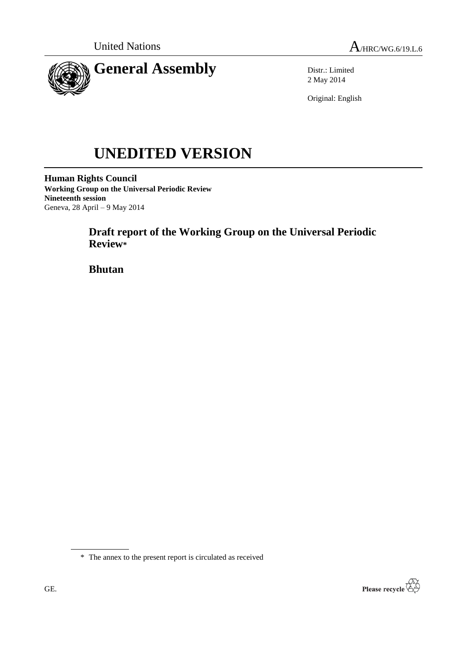

Distr.: Limited 2 May 2014

Original: English

# **UNEDITED VERSION**

**Human Rights Council Working Group on the Universal Periodic Review Nineteenth session** Geneva, 28 April – 9 May 2014

# **Draft report of the Working Group on the Universal Periodic Review\***

**Bhutan**



<sup>\*</sup> The annex to the present report is circulated as received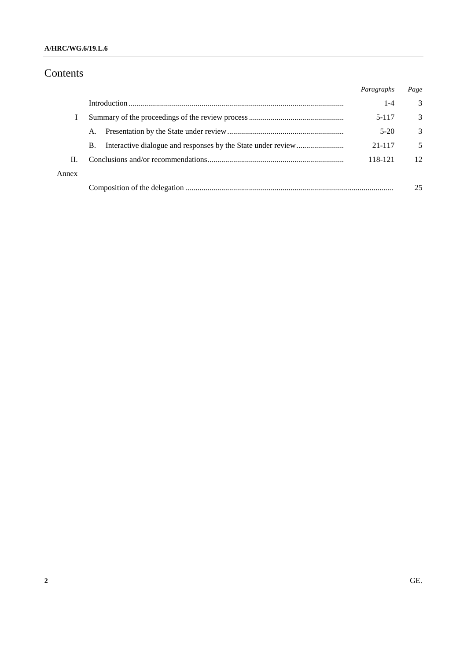## **A/HRC/WG.6/19.L.6**

# Contents

|       |           | Paragraphs | Page |
|-------|-----------|------------|------|
|       |           | $1 - 4$    | 3    |
|       |           | 5-117      | 3    |
|       | A.        | $5-20$     | 3    |
|       | <b>B.</b> | 21-117     | 5    |
| Н.    |           | 118-121    | 12   |
| Annex |           |            |      |
|       |           |            | 25   |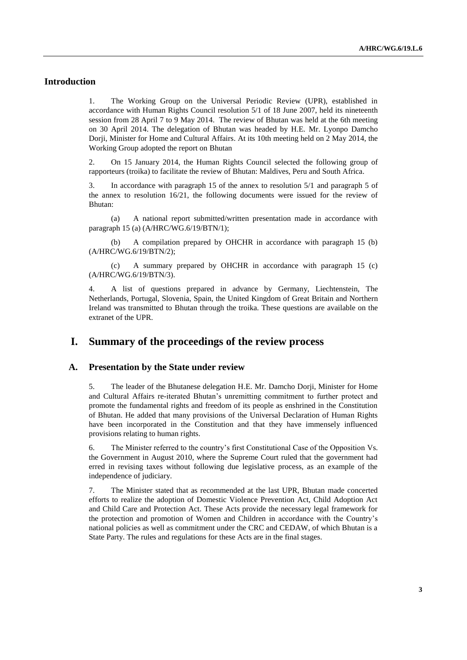## **Introduction**

1. The Working Group on the Universal Periodic Review (UPR), established in accordance with Human Rights Council resolution 5/1 of 18 June 2007, held its nineteenth session from 28 April 7 to 9 May 2014. The review of Bhutan was held at the 6th meeting on 30 April 2014. The delegation of Bhutan was headed by H.E. Mr. Lyonpo Damcho Dorji, Minister for Home and Cultural Affairs. At its 10th meeting held on 2 May 2014, the Working Group adopted the report on Bhutan

2. On 15 January 2014, the Human Rights Council selected the following group of rapporteurs (troika) to facilitate the review of Bhutan: Maldives, Peru and South Africa.

3. In accordance with paragraph 15 of the annex to resolution 5/1 and paragraph 5 of the annex to resolution 16/21, the following documents were issued for the review of Bhutan:

(a) A national report submitted/written presentation made in accordance with paragraph 15 (a) (A/HRC/WG.6/19/BTN/1);

(b) A compilation prepared by OHCHR in accordance with paragraph 15 (b) (A/HRC/WG.6/19/BTN/2);

(c) A summary prepared by OHCHR in accordance with paragraph 15 (c) (A/HRC/WG.6/19/BTN/3).

4. A list of questions prepared in advance by Germany, Liechtenstein, The Netherlands, Portugal, Slovenia, Spain, the United Kingdom of Great Britain and Northern Ireland was transmitted to Bhutan through the troika. These questions are available on the extranet of the UPR.

## **I. Summary of the proceedings of the review process**

#### **A. Presentation by the State under review**

5. The leader of the Bhutanese delegation H.E. Mr. Damcho Dorji, Minister for Home and Cultural Affairs re-iterated Bhutan's unremitting commitment to further protect and promote the fundamental rights and freedom of its people as enshrined in the Constitution of Bhutan. He added that many provisions of the Universal Declaration of Human Rights have been incorporated in the Constitution and that they have immensely influenced provisions relating to human rights.

6. The Minister referred to the country's first Constitutional Case of the Opposition Vs. the Government in August 2010, where the Supreme Court ruled that the government had erred in revising taxes without following due legislative process, as an example of the independence of judiciary.

7. The Minister stated that as recommended at the last UPR, Bhutan made concerted efforts to realize the adoption of Domestic Violence Prevention Act, Child Adoption Act and Child Care and Protection Act. These Acts provide the necessary legal framework for the protection and promotion of Women and Children in accordance with the Country's national policies as well as commitment under the CRC and CEDAW, of which Bhutan is a State Party. The rules and regulations for these Acts are in the final stages.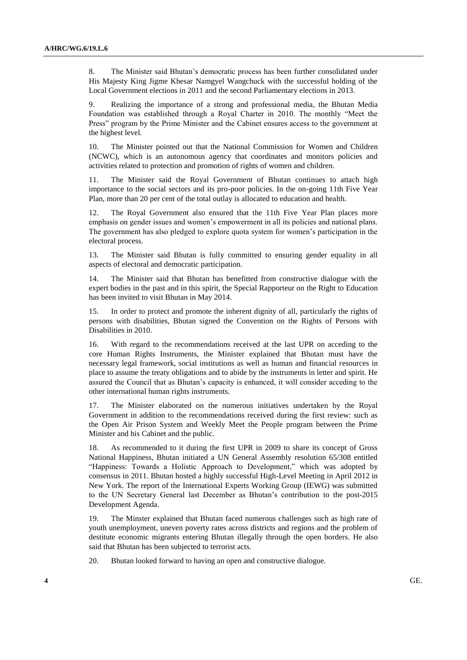8. The Minister said Bhutan's democratic process has been further consolidated under His Majesty King Jigme Khesar Namgyel Wangchuck with the successful holding of the Local Government elections in 2011 and the second Parliamentary elections in 2013.

9. Realizing the importance of a strong and professional media, the Bhutan Media Foundation was established through a Royal Charter in 2010. The monthly "Meet the Press" program by the Prime Minister and the Cabinet ensures access to the government at the highest level.

10. The Minister pointed out that the National Commission for Women and Children (NCWC), which is an autonomous agency that coordinates and monitors policies and activities related to protection and promotion of rights of women and children.

11. The Minister said the Royal Government of Bhutan continues to attach high importance to the social sectors and its pro-poor policies. In the on-going 11th Five Year Plan, more than 20 per cent of the total outlay is allocated to education and health.

12. The Royal Government also ensured that the 11th Five Year Plan places more emphasis on gender issues and women's empowerment in all its policies and national plans. The government has also pledged to explore quota system for women's participation in the electoral process.

13. The Minister said Bhutan is fully committed to ensuring gender equality in all aspects of electoral and democratic participation.

14. The Minister said that Bhutan has benefitted from constructive dialogue with the expert bodies in the past and in this spirit, the Special Rapporteur on the Right to Education has been invited to visit Bhutan in May 2014.

15. In order to protect and promote the inherent dignity of all, particularly the rights of persons with disabilities, Bhutan signed the Convention on the Rights of Persons with Disabilities in 2010.

16. With regard to the recommendations received at the last UPR on acceding to the core Human Rights Instruments, the Minister explained that Bhutan must have the necessary legal framework, social institutions as well as human and financial resources in place to assume the treaty obligations and to abide by the instruments in letter and spirit. He assured the Council that as Bhutan's capacity is enhanced, it will consider acceding to the other international human rights instruments.

17. The Minister elaborated on the numerous initiatives undertaken by the Royal Government in addition to the recommendations received during the first review: such as the Open Air Prison System and Weekly Meet the People program between the Prime Minister and his Cabinet and the public.

18. As recommended to it during the first UPR in 2009 to share its concept of Gross National Happiness, Bhutan initiated a UN General Assembly resolution 65/308 entitled "Happiness: Towards a Holistic Approach to Development," which was adopted by consensus in 2011. Bhutan hosted a highly successful High-Level Meeting in April 2012 in New York. The report of the International Experts Working Group (IEWG) was submitted to the UN Secretary General last December as Bhutan's contribution to the post-2015 Development Agenda.

19. The Minster explained that Bhutan faced numerous challenges such as high rate of youth unemployment, uneven poverty rates across districts and regions and the problem of destitute economic migrants entering Bhutan illegally through the open borders. He also said that Bhutan has been subjected to terrorist acts.

20. Bhutan looked forward to having an open and constructive dialogue.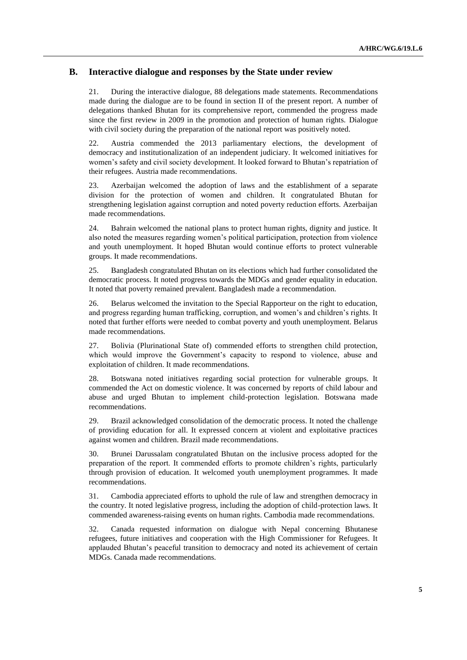## **B. Interactive dialogue and responses by the State under review**

21. During the interactive dialogue, 88 delegations made statements. Recommendations made during the dialogue are to be found in section II of the present report. A number of delegations thanked Bhutan for its comprehensive report, commended the progress made since the first review in 2009 in the promotion and protection of human rights. Dialogue with civil society during the preparation of the national report was positively noted.

22. Austria commended the 2013 parliamentary elections, the development of democracy and institutionalization of an independent judiciary. It welcomed initiatives for women's safety and civil society development. It looked forward to Bhutan's repatriation of their refugees. Austria made recommendations.

23. Azerbaijan welcomed the adoption of laws and the establishment of a separate division for the protection of women and children. It congratulated Bhutan for strengthening legislation against corruption and noted poverty reduction efforts. Azerbaijan made recommendations.

24. Bahrain welcomed the national plans to protect human rights, dignity and justice. It also noted the measures regarding women's political participation, protection from violence and youth unemployment. It hoped Bhutan would continue efforts to protect vulnerable groups. It made recommendations.

25. Bangladesh congratulated Bhutan on its elections which had further consolidated the democratic process. It noted progress towards the MDGs and gender equality in education. It noted that poverty remained prevalent. Bangladesh made a recommendation.

26. Belarus welcomed the invitation to the Special Rapporteur on the right to education, and progress regarding human trafficking, corruption, and women's and children's rights. It noted that further efforts were needed to combat poverty and youth unemployment. Belarus made recommendations.

27. Bolivia (Plurinational State of) commended efforts to strengthen child protection, which would improve the Government's capacity to respond to violence, abuse and exploitation of children. It made recommendations.

28. Botswana noted initiatives regarding social protection for vulnerable groups. It commended the Act on domestic violence. It was concerned by reports of child labour and abuse and urged Bhutan to implement child-protection legislation. Botswana made recommendations.

29. Brazil acknowledged consolidation of the democratic process. It noted the challenge of providing education for all. It expressed concern at violent and exploitative practices against women and children. Brazil made recommendations.

30. Brunei Darussalam congratulated Bhutan on the inclusive process adopted for the preparation of the report. It commended efforts to promote children's rights, particularly through provision of education. It welcomed youth unemployment programmes. It made recommendations.

31. Cambodia appreciated efforts to uphold the rule of law and strengthen democracy in the country. It noted legislative progress, including the adoption of child-protection laws. It commended awareness-raising events on human rights. Cambodia made recommendations.

32. Canada requested information on dialogue with Nepal concerning Bhutanese refugees, future initiatives and cooperation with the High Commissioner for Refugees. It applauded Bhutan's peaceful transition to democracy and noted its achievement of certain MDGs. Canada made recommendations.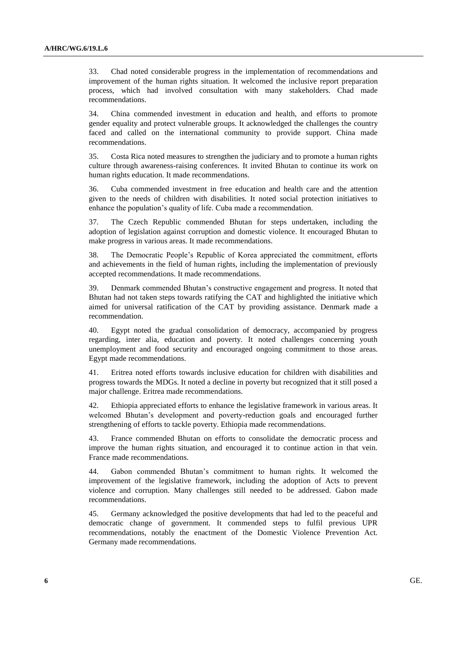33. Chad noted considerable progress in the implementation of recommendations and improvement of the human rights situation. It welcomed the inclusive report preparation process, which had involved consultation with many stakeholders. Chad made recommendations.

34. China commended investment in education and health, and efforts to promote gender equality and protect vulnerable groups. It acknowledged the challenges the country faced and called on the international community to provide support. China made recommendations.

35. Costa Rica noted measures to strengthen the judiciary and to promote a human rights culture through awareness-raising conferences. It invited Bhutan to continue its work on human rights education. It made recommendations.

36. Cuba commended investment in free education and health care and the attention given to the needs of children with disabilities. It noted social protection initiatives to enhance the population's quality of life. Cuba made a recommendation.

37. The Czech Republic commended Bhutan for steps undertaken, including the adoption of legislation against corruption and domestic violence. It encouraged Bhutan to make progress in various areas. It made recommendations.

38. The Democratic People's Republic of Korea appreciated the commitment, efforts and achievements in the field of human rights, including the implementation of previously accepted recommendations. It made recommendations.

39. Denmark commended Bhutan's constructive engagement and progress. It noted that Bhutan had not taken steps towards ratifying the CAT and highlighted the initiative which aimed for universal ratification of the CAT by providing assistance. Denmark made a recommendation.

40. Egypt noted the gradual consolidation of democracy, accompanied by progress regarding, inter alia, education and poverty. It noted challenges concerning youth unemployment and food security and encouraged ongoing commitment to those areas. Egypt made recommendations.

41. Eritrea noted efforts towards inclusive education for children with disabilities and progress towards the MDGs. It noted a decline in poverty but recognized that it still posed a major challenge. Eritrea made recommendations.

42. Ethiopia appreciated efforts to enhance the legislative framework in various areas. It welcomed Bhutan's development and poverty-reduction goals and encouraged further strengthening of efforts to tackle poverty. Ethiopia made recommendations.

43. France commended Bhutan on efforts to consolidate the democratic process and improve the human rights situation, and encouraged it to continue action in that vein. France made recommendations.

44. Gabon commended Bhutan's commitment to human rights. It welcomed the improvement of the legislative framework, including the adoption of Acts to prevent violence and corruption. Many challenges still needed to be addressed. Gabon made recommendations.

45. Germany acknowledged the positive developments that had led to the peaceful and democratic change of government. It commended steps to fulfil previous UPR recommendations, notably the enactment of the Domestic Violence Prevention Act. Germany made recommendations.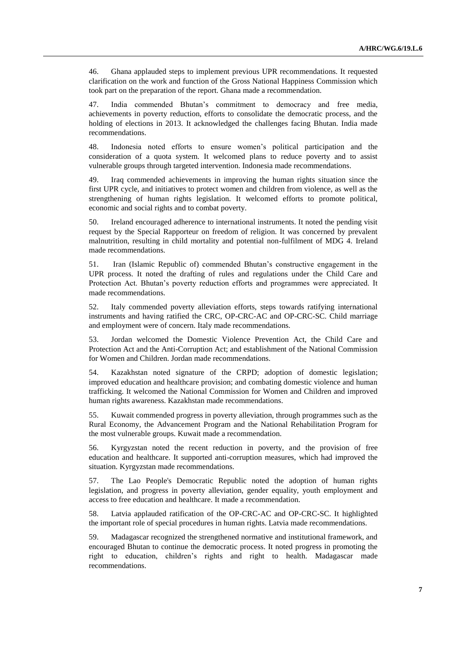46. Ghana applauded steps to implement previous UPR recommendations. It requested clarification on the work and function of the Gross National Happiness Commission which took part on the preparation of the report. Ghana made a recommendation.

47. India commended Bhutan's commitment to democracy and free media, achievements in poverty reduction, efforts to consolidate the democratic process, and the holding of elections in 2013. It acknowledged the challenges facing Bhutan. India made recommendations.

48. Indonesia noted efforts to ensure women's political participation and the consideration of a quota system. It welcomed plans to reduce poverty and to assist vulnerable groups through targeted intervention. Indonesia made recommendations.

49. Iraq commended achievements in improving the human rights situation since the first UPR cycle, and initiatives to protect women and children from violence, as well as the strengthening of human rights legislation. It welcomed efforts to promote political, economic and social rights and to combat poverty.

50. Ireland encouraged adherence to international instruments. It noted the pending visit request by the Special Rapporteur on freedom of religion. It was concerned by prevalent malnutrition, resulting in child mortality and potential non-fulfilment of MDG 4. Ireland made recommendations.

51. Iran (Islamic Republic of) commended Bhutan's constructive engagement in the UPR process. It noted the drafting of rules and regulations under the Child Care and Protection Act. Bhutan's poverty reduction efforts and programmes were appreciated. It made recommendations.

52. Italy commended poverty alleviation efforts, steps towards ratifying international instruments and having ratified the CRC, OP-CRC-AC and OP-CRC-SC. Child marriage and employment were of concern. Italy made recommendations.

53. Jordan welcomed the Domestic Violence Prevention Act, the Child Care and Protection Act and the Anti-Corruption Act; and establishment of the National Commission for Women and Children. Jordan made recommendations.

54. Kazakhstan noted signature of the CRPD; adoption of domestic legislation; improved education and healthcare provision; and combating domestic violence and human trafficking. It welcomed the National Commission for Women and Children and improved human rights awareness. Kazakhstan made recommendations.

55. Kuwait commended progress in poverty alleviation, through programmes such as the Rural Economy, the Advancement Program and the National Rehabilitation Program for the most vulnerable groups. Kuwait made a recommendation.

56. Kyrgyzstan noted the recent reduction in poverty, and the provision of free education and healthcare. It supported anti-corruption measures, which had improved the situation. Kyrgyzstan made recommendations.

57. The Lao People's Democratic Republic noted the adoption of human rights legislation, and progress in poverty alleviation, gender equality, youth employment and access to free education and healthcare. It made a recommendation.

58. Latvia applauded ratification of the OP-CRC-AC and OP-CRC-SC. It highlighted the important role of special procedures in human rights. Latvia made recommendations.

59. Madagascar recognized the strengthened normative and institutional framework, and encouraged Bhutan to continue the democratic process. It noted progress in promoting the right to education, children's rights and right to health. Madagascar made recommendations.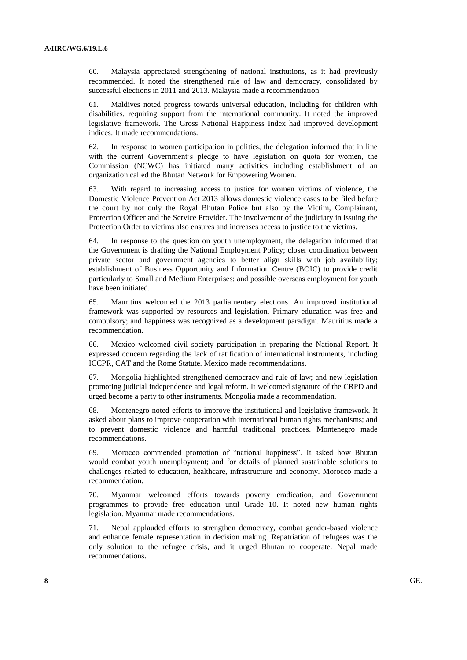60. Malaysia appreciated strengthening of national institutions, as it had previously recommended. It noted the strengthened rule of law and democracy, consolidated by successful elections in 2011 and 2013. Malaysia made a recommendation.

61. Maldives noted progress towards universal education, including for children with disabilities, requiring support from the international community. It noted the improved legislative framework. The Gross National Happiness Index had improved development indices. It made recommendations.

62. In response to women participation in politics, the delegation informed that in line with the current Government's pledge to have legislation on quota for women, the Commission (NCWC) has initiated many activities including establishment of an organization called the Bhutan Network for Empowering Women.

63. With regard to increasing access to justice for women victims of violence, the Domestic Violence Prevention Act 2013 allows domestic violence cases to be filed before the court by not only the Royal Bhutan Police but also by the Victim, Complainant, Protection Officer and the Service Provider. The involvement of the judiciary in issuing the Protection Order to victims also ensures and increases access to justice to the victims.

64. In response to the question on youth unemployment, the delegation informed that the Government is drafting the National Employment Policy; closer coordination between private sector and government agencies to better align skills with job availability; establishment of Business Opportunity and Information Centre (BOIC) to provide credit particularly to Small and Medium Enterprises; and possible overseas employment for youth have been initiated.

65. Mauritius welcomed the 2013 parliamentary elections. An improved institutional framework was supported by resources and legislation. Primary education was free and compulsory; and happiness was recognized as a development paradigm. Mauritius made a recommendation.

66. Mexico welcomed civil society participation in preparing the National Report. It expressed concern regarding the lack of ratification of international instruments, including ICCPR, CAT and the Rome Statute. Mexico made recommendations.

67. Mongolia highlighted strengthened democracy and rule of law; and new legislation promoting judicial independence and legal reform. It welcomed signature of the CRPD and urged become a party to other instruments. Mongolia made a recommendation.

68. Montenegro noted efforts to improve the institutional and legislative framework. It asked about plans to improve cooperation with international human rights mechanisms; and to prevent domestic violence and harmful traditional practices. Montenegro made recommendations.

69. Morocco commended promotion of "national happiness". It asked how Bhutan would combat youth unemployment; and for details of planned sustainable solutions to challenges related to education, healthcare, infrastructure and economy. Morocco made a recommendation.

70. Myanmar welcomed efforts towards poverty eradication, and Government programmes to provide free education until Grade 10. It noted new human rights legislation. Myanmar made recommendations.

71. Nepal applauded efforts to strengthen democracy, combat gender-based violence and enhance female representation in decision making. Repatriation of refugees was the only solution to the refugee crisis, and it urged Bhutan to cooperate. Nepal made recommendations.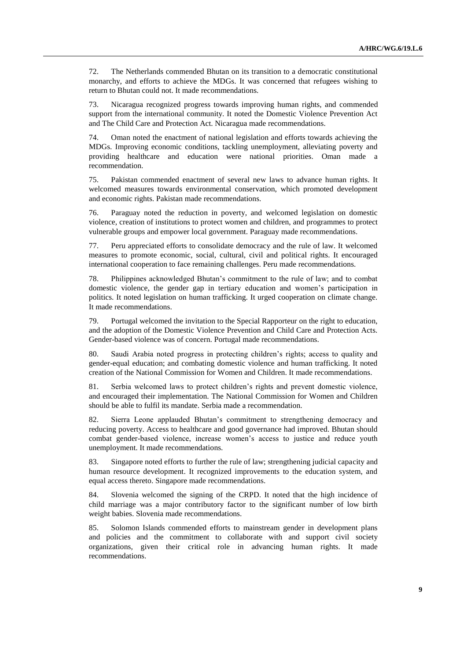72. The Netherlands commended Bhutan on its transition to a democratic constitutional monarchy, and efforts to achieve the MDGs. It was concerned that refugees wishing to return to Bhutan could not. It made recommendations.

73. Nicaragua recognized progress towards improving human rights, and commended support from the international community. It noted the Domestic Violence Prevention Act and The Child Care and Protection Act. Nicaragua made recommendations.

74. Oman noted the enactment of national legislation and efforts towards achieving the MDGs. Improving economic conditions, tackling unemployment, alleviating poverty and providing healthcare and education were national priorities. Oman made a recommendation.

75. Pakistan commended enactment of several new laws to advance human rights. It welcomed measures towards environmental conservation, which promoted development and economic rights. Pakistan made recommendations.

76. Paraguay noted the reduction in poverty, and welcomed legislation on domestic violence, creation of institutions to protect women and children, and programmes to protect vulnerable groups and empower local government. Paraguay made recommendations.

77. Peru appreciated efforts to consolidate democracy and the rule of law. It welcomed measures to promote economic, social, cultural, civil and political rights. It encouraged international cooperation to face remaining challenges. Peru made recommendations.

78. Philippines acknowledged Bhutan's commitment to the rule of law; and to combat domestic violence, the gender gap in tertiary education and women's participation in politics. It noted legislation on human trafficking. It urged cooperation on climate change. It made recommendations.

79. Portugal welcomed the invitation to the Special Rapporteur on the right to education, and the adoption of the Domestic Violence Prevention and Child Care and Protection Acts. Gender-based violence was of concern. Portugal made recommendations.

80. Saudi Arabia noted progress in protecting children's rights; access to quality and gender-equal education; and combating domestic violence and human trafficking. It noted creation of the National Commission for Women and Children. It made recommendations.

81. Serbia welcomed laws to protect children's rights and prevent domestic violence, and encouraged their implementation. The National Commission for Women and Children should be able to fulfil its mandate. Serbia made a recommendation.

82. Sierra Leone applauded Bhutan's commitment to strengthening democracy and reducing poverty. Access to healthcare and good governance had improved. Bhutan should combat gender-based violence, increase women's access to justice and reduce youth unemployment. It made recommendations.

83. Singapore noted efforts to further the rule of law; strengthening judicial capacity and human resource development. It recognized improvements to the education system, and equal access thereto. Singapore made recommendations.

84. Slovenia welcomed the signing of the CRPD. It noted that the high incidence of child marriage was a major contributory factor to the significant number of low birth weight babies. Slovenia made recommendations.

85. Solomon Islands commended efforts to mainstream gender in development plans and policies and the commitment to collaborate with and support civil society organizations, given their critical role in advancing human rights. It made recommendations.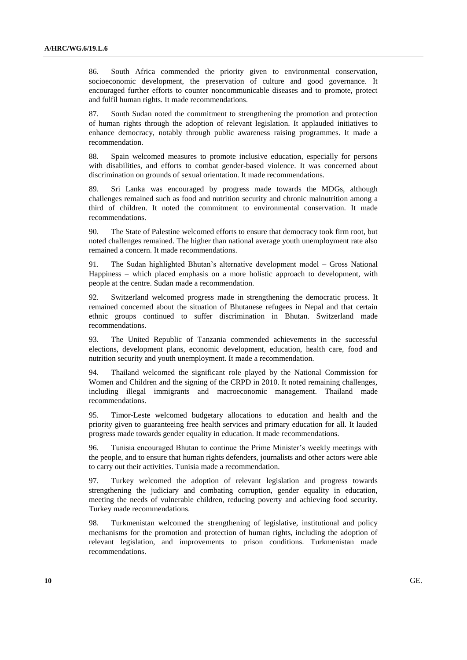86. South Africa commended the priority given to environmental conservation, socioeconomic development, the preservation of culture and good governance. It encouraged further efforts to counter noncommunicable diseases and to promote, protect and fulfil human rights. It made recommendations.

87. South Sudan noted the commitment to strengthening the promotion and protection of human rights through the adoption of relevant legislation. It applauded initiatives to enhance democracy, notably through public awareness raising programmes. It made a recommendation.

88. Spain welcomed measures to promote inclusive education, especially for persons with disabilities, and efforts to combat gender-based violence. It was concerned about discrimination on grounds of sexual orientation. It made recommendations.

89. Sri Lanka was encouraged by progress made towards the MDGs, although challenges remained such as food and nutrition security and chronic malnutrition among a third of children. It noted the commitment to environmental conservation. It made recommendations.

90. The State of Palestine welcomed efforts to ensure that democracy took firm root, but noted challenges remained. The higher than national average youth unemployment rate also remained a concern. It made recommendations.

91. The Sudan highlighted Bhutan's alternative development model – Gross National Happiness – which placed emphasis on a more holistic approach to development, with people at the centre. Sudan made a recommendation.

92. Switzerland welcomed progress made in strengthening the democratic process. It remained concerned about the situation of Bhutanese refugees in Nepal and that certain ethnic groups continued to suffer discrimination in Bhutan. Switzerland made recommendations.

93. The United Republic of Tanzania commended achievements in the successful elections, development plans, economic development, education, health care, food and nutrition security and youth unemployment. It made a recommendation.

94. Thailand welcomed the significant role played by the National Commission for Women and Children and the signing of the CRPD in 2010. It noted remaining challenges, including illegal immigrants and macroeconomic management. Thailand made recommendations.

95. Timor-Leste welcomed budgetary allocations to education and health and the priority given to guaranteeing free health services and primary education for all. It lauded progress made towards gender equality in education. It made recommendations.

96. Tunisia encouraged Bhutan to continue the Prime Minister's weekly meetings with the people, and to ensure that human rights defenders, journalists and other actors were able to carry out their activities. Tunisia made a recommendation.

97. Turkey welcomed the adoption of relevant legislation and progress towards strengthening the judiciary and combating corruption, gender equality in education, meeting the needs of vulnerable children, reducing poverty and achieving food security. Turkey made recommendations.

98. Turkmenistan welcomed the strengthening of legislative, institutional and policy mechanisms for the promotion and protection of human rights, including the adoption of relevant legislation, and improvements to prison conditions. Turkmenistan made recommendations.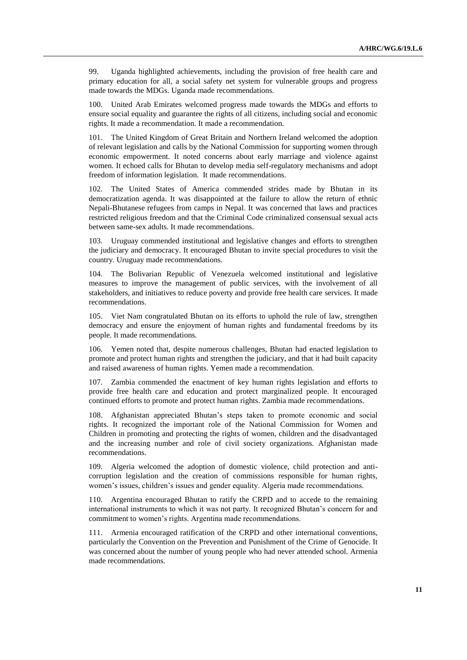99. Uganda highlighted achievements, including the provision of free health care and primary education for all, a social safety net system for vulnerable groups and progress made towards the MDGs. Uganda made recommendations.

100. United Arab Emirates welcomed progress made towards the MDGs and efforts to ensure social equality and guarantee the rights of all citizens, including social and economic rights. It made a recommendation. It made a recommendation.

101. The United Kingdom of Great Britain and Northern Ireland welcomed the adoption of relevant legislation and calls by the National Commission for supporting women through economic empowerment. It noted concerns about early marriage and violence against women. It echoed calls for Bhutan to develop media self-regulatory mechanisms and adopt freedom of information legislation. It made recommendations.

102. The United States of America commended strides made by Bhutan in its democratization agenda. It was disappointed at the failure to allow the return of ethnic Nepali-Bhutanese refugees from camps in Nepal. It was concerned that laws and practices restricted religious freedom and that the Criminal Code criminalized consensual sexual acts between same-sex adults. It made recommendations.

103. Uruguay commended institutional and legislative changes and efforts to strengthen the judiciary and democracy. It encouraged Bhutan to invite special procedures to visit the country. Uruguay made recommendations.

104. The Bolivarian Republic of Venezuela welcomed institutional and legislative measures to improve the management of public services, with the involvement of all stakeholders, and initiatives to reduce poverty and provide free health care services. It made recommendations.

105. Viet Nam congratulated Bhutan on its efforts to uphold the rule of law, strengthen democracy and ensure the enjoyment of human rights and fundamental freedoms by its people. It made recommendations.

106. Yemen noted that, despite numerous challenges, Bhutan had enacted legislation to promote and protect human rights and strengthen the judiciary, and that it had built capacity and raised awareness of human rights. Yemen made a recommendation.

107. Zambia commended the enactment of key human rights legislation and efforts to provide free health care and education and protect marginalized people. It encouraged continued efforts to promote and protect human rights. Zambia made recommendations.

108. Afghanistan appreciated Bhutan's steps taken to promote economic and social rights. It recognized the important role of the National Commission for Women and Children in promoting and protecting the rights of women, children and the disadvantaged and the increasing number and role of civil society organizations. Afghanistan made recommendations.

109. Algeria welcomed the adoption of domestic violence, child protection and anticorruption legislation and the creation of commissions responsible for human rights, women's issues, children's issues and gender equality. Algeria made recommendations.

110. Argentina encouraged Bhutan to ratify the CRPD and to accede to the remaining international instruments to which it was not party. It recognized Bhutan's concern for and commitment to women's rights. Argentina made recommendations.

111. Armenia encouraged ratification of the CRPD and other international conventions, particularly the Convention on the Prevention and Punishment of the Crime of Genocide. It was concerned about the number of young people who had never attended school. Armenia made recommendations.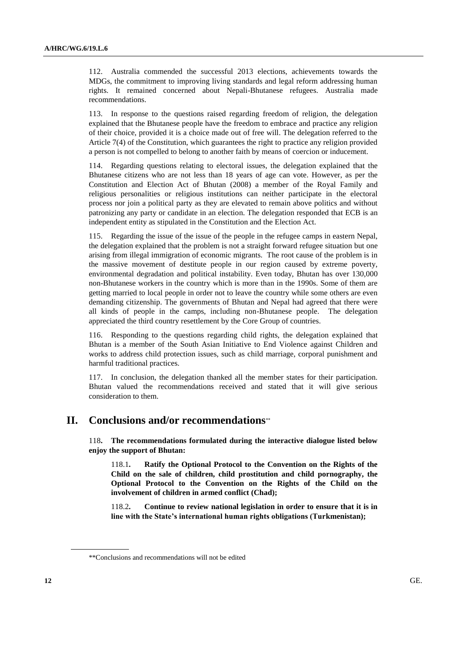112. Australia commended the successful 2013 elections, achievements towards the MDGs, the commitment to improving living standards and legal reform addressing human rights. It remained concerned about Nepali-Bhutanese refugees. Australia made recommendations.

113. In response to the questions raised regarding freedom of religion, the delegation explained that the Bhutanese people have the freedom to embrace and practice any religion of their choice, provided it is a choice made out of free will. The delegation referred to the Article 7(4) of the Constitution, which guarantees the right to practice any religion provided a person is not compelled to belong to another faith by means of coercion or inducement.

114. Regarding questions relating to electoral issues, the delegation explained that the Bhutanese citizens who are not less than 18 years of age can vote. However, as per the Constitution and Election Act of Bhutan (2008) a member of the Royal Family and religious personalities or religious institutions can neither participate in the electoral process nor join a political party as they are elevated to remain above politics and without patronizing any party or candidate in an election. The delegation responded that ECB is an independent entity as stipulated in the Constitution and the Election Act.

115. Regarding the issue of the issue of the people in the refugee camps in eastern Nepal, the delegation explained that the problem is not a straight forward refugee situation but one arising from illegal immigration of economic migrants. The root cause of the problem is in the massive movement of destitute people in our region caused by extreme poverty, environmental degradation and political instability. Even today, Bhutan has over 130,000 non-Bhutanese workers in the country which is more than in the 1990s. Some of them are getting married to local people in order not to leave the country while some others are even demanding citizenship. The governments of Bhutan and Nepal had agreed that there were all kinds of people in the camps, including non-Bhutanese people. The delegation appreciated the third country resettlement by the Core Group of countries.

116. Responding to the questions regarding child rights, the delegation explained that Bhutan is a member of the South Asian Initiative to End Violence against Children and works to address child protection issues, such as child marriage, corporal punishment and harmful traditional practices.

117. In conclusion, the delegation thanked all the member states for their participation. Bhutan valued the recommendations received and stated that it will give serious consideration to them.

# **II. Conclusions and/or recommendations**

118**. The recommendations formulated during the interactive dialogue listed below enjoy the support of Bhutan:**

118.1**. Ratify the Optional Protocol to the Convention on the Rights of the Child on the sale of children, child prostitution and child pornography, the Optional Protocol to the Convention on the Rights of the Child on the involvement of children in armed conflict (Chad);**

118.2**. Continue to review national legislation in order to ensure that it is in line with the State's international human rights obligations (Turkmenistan);**

<sup>\*\*</sup>Conclusions and recommendations will not be edited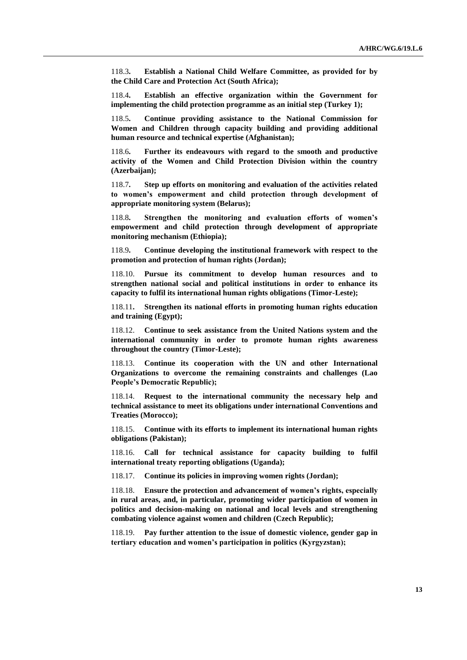118.3**. Establish a National Child Welfare Committee, as provided for by the Child Care and Protection Act (South Africa);**

118.4**. Establish an effective organization within the Government for implementing the child protection programme as an initial step (Turkey 1);**

118.5**. Continue providing assistance to the National Commission for Women and Children through capacity building and providing additional human resource and technical expertise (Afghanistan);**

118.6**. Further its endeavours with regard to the smooth and productive activity of the Women and Child Protection Division within the country (Azerbaijan);** 

118.7**. Step up efforts on monitoring and evaluation of the activities related to women's empowerment and child protection through development of appropriate monitoring system (Belarus);**

118.8**. Strengthen the monitoring and evaluation efforts of women's empowerment and child protection through development of appropriate monitoring mechanism (Ethiopia);**

118.9**. Continue developing the institutional framework with respect to the promotion and protection of human rights (Jordan);**

118.10. **Pursue its commitment to develop human resources and to strengthen national social and political institutions in order to enhance its capacity to fulfil its international human rights obligations (Timor-Leste);**

118.11**. Strengthen its national efforts in promoting human rights education and training (Egypt);**

118.12. **Continue to seek assistance from the United Nations system and the international community in order to promote human rights awareness throughout the country (Timor-Leste);**

118.13. **Continue its cooperation with the UN and other International Organizations to overcome the remaining constraints and challenges (Lao People's Democratic Republic);** 

118.14. **Request to the international community the necessary help and technical assistance to meet its obligations under international Conventions and Treaties (Morocco);**

118.15. **Continue with its efforts to implement its international human rights obligations (Pakistan);**

118.16. **Call for technical assistance for capacity building to fulfil international treaty reporting obligations (Uganda);**

118.17. **Continue its policies in improving women rights (Jordan);**

118.18. **Ensure the protection and advancement of women's rights, especially in rural areas, and, in particular, promoting wider participation of women in politics and decision-making on national and local levels and strengthening combating violence against women and children (Czech Republic);**

118.19. **Pay further attention to the issue of domestic violence, gender gap in tertiary education and women's participation in politics (Kyrgyzstan);**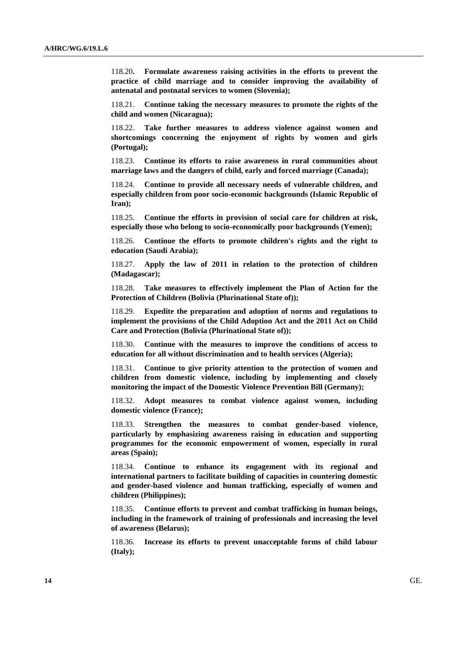118.20**. Formulate awareness raising activities in the efforts to prevent the practice of child marriage and to consider improving the availability of antenatal and postnatal services to women (Slovenia);**

118.21. **Continue taking the necessary measures to promote the rights of the child and women (Nicaragua);**

118.22. **Take further measures to address violence against women and shortcomings concerning the enjoyment of rights by women and girls (Portugal);** 

118.23. **Continue its efforts to raise awareness in rural communities about marriage laws and the dangers of child, early and forced marriage (Canada);**

118.24. **Continue to provide all necessary needs of vulnerable children, and especially children from poor socio-economic backgrounds (Islamic Republic of Iran);**

118.25. **Continue the efforts in provision of social care for children at risk, especially those who belong to socio-economically poor backgrounds (Yemen);** 

118.26. **Continue the efforts to promote children's rights and the right to education (Saudi Arabia);**

118.27. **Apply the law of 2011 in relation to the protection of children (Madagascar);**

118.28. **Take measures to effectively implement the Plan of Action for the Protection of Children (Bolivia (Plurinational State of));** 

118.29. **Expedite the preparation and adoption of norms and regulations to implement the provisions of the Child Adoption Act and the 2011 Act on Child Care and Protection (Bolivia (Plurinational State of));** 

118.30. **Continue with the measures to improve the conditions of access to education for all without discrimination and to health services (Algeria);**

118.31. **Continue to give priority attention to the protection of women and children from domestic violence, including by implementing and closely monitoring the impact of the Domestic Violence Prevention Bill (Germany);** 

118.32. **Adopt measures to combat violence against women, including domestic violence (France);**

118.33. **Strengthen the measures to combat gender-based violence, particularly by emphasizing awareness raising in education and supporting programmes for the economic empowerment of women, especially in rural areas (Spain);** 

118.34. **Continue to enhance its engagement with its regional and international partners to facilitate building of capacities in countering domestic and gender-based violence and human trafficking, especially of women and children (Philippines);** 

118.35. **Continue efforts to prevent and combat trafficking in human beings, including in the framework of training of professionals and increasing the level of awareness (Belarus);**

118.36. **Increase its efforts to prevent unacceptable forms of child labour (Italy);**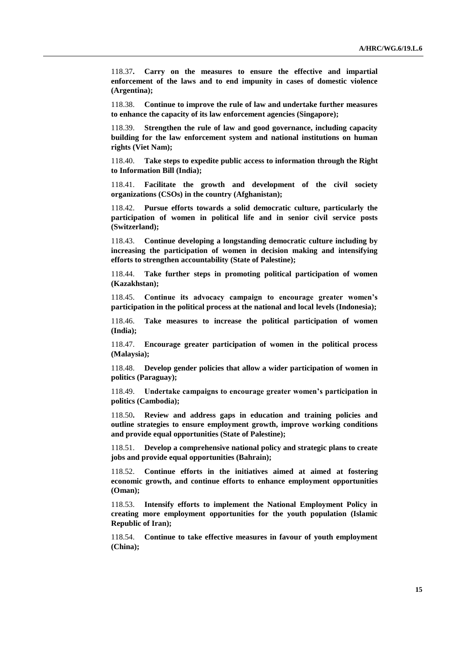118.37**. Carry on the measures to ensure the effective and impartial enforcement of the laws and to end impunity in cases of domestic violence (Argentina);** 

118.38. **Continue to improve the rule of law and undertake further measures to enhance the capacity of its law enforcement agencies (Singapore);**

118.39. **Strengthen the rule of law and good governance, including capacity building for the law enforcement system and national institutions on human rights (Viet Nam);** 

118.40. **Take steps to expedite public access to information through the Right to Information Bill (India);**

118.41. **Facilitate the growth and development of the civil society organizations (CSOs) in the country (Afghanistan);**

118.42. **Pursue efforts towards a solid democratic culture, particularly the participation of women in political life and in senior civil service posts (Switzerland);**

118.43. **Continue developing a longstanding democratic culture including by increasing the participation of women in decision making and intensifying efforts to strengthen accountability (State of Palestine);**

118.44. **Take further steps in promoting political participation of women (Kazakhstan);**

118.45. **Continue its advocacy campaign to encourage greater women's participation in the political process at the national and local levels (Indonesia);** 

118.46. **Take measures to increase the political participation of women (India);**

118.47. **Encourage greater participation of women in the political process (Malaysia);**

118.48. **Develop gender policies that allow a wider participation of women in politics (Paraguay);** 

118.49. **Undertake campaigns to encourage greater women's participation in politics (Cambodia);** 

118.50**. Review and address gaps in education and training policies and outline strategies to ensure employment growth, improve working conditions and provide equal opportunities (State of Palestine);**

118.51. **Develop a comprehensive national policy and strategic plans to create jobs and provide equal opportunities (Bahrain);**

118.52. **Continue efforts in the initiatives aimed at aimed at fostering economic growth, and continue efforts to enhance employment opportunities (Oman);** 

118.53. **Intensify efforts to implement the National Employment Policy in creating more employment opportunities for the youth population (Islamic Republic of Iran);**

118.54. **Continue to take effective measures in favour of youth employment (China);**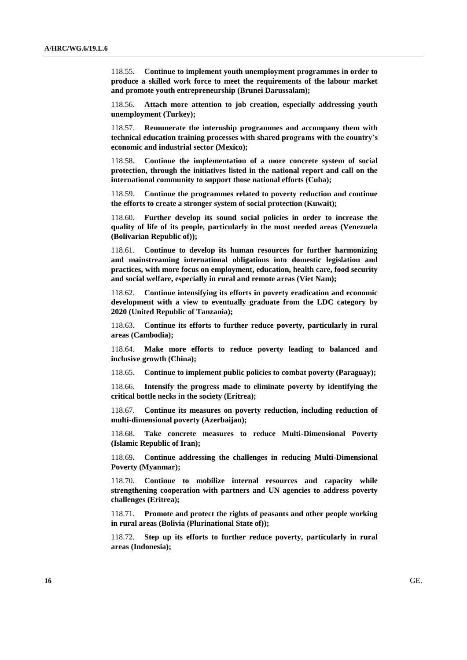118.55. **Continue to implement youth unemployment programmes in order to produce a skilled work force to meet the requirements of the labour market and promote youth entrepreneurship (Brunei Darussalam);**

118.56. **Attach more attention to job creation, especially addressing youth unemployment (Turkey);**

118.57. **Remunerate the internship programmes and accompany them with technical education training processes with shared programs with the country's economic and industrial sector (Mexico);** 

118.58. **Continue the implementation of a more concrete system of social protection, through the initiatives listed in the national report and call on the international community to support those national efforts (Cuba);**

118.59. **Continue the programmes related to poverty reduction and continue the efforts to create a stronger system of social protection (Kuwait);** 

118.60. **Further develop its sound social policies in order to increase the quality of life of its people, particularly in the most needed areas (Venezuela (Bolivarian Republic of));** 

118.61. **Continue to develop its human resources for further harmonizing and mainstreaming international obligations into domestic legislation and practices, with more focus on employment, education, health care, food security and social welfare, especially in rural and remote areas (Viet Nam);** 

118.62. **Continue intensifying its efforts in poverty eradication and economic development with a view to eventually graduate from the LDC category by 2020 (United Republic of Tanzania);**

118.63. **Continue its efforts to further reduce poverty, particularly in rural areas (Cambodia);**

118.64. **Make more efforts to reduce poverty leading to balanced and inclusive growth (China);** 

118.65. **Continue to implement public policies to combat poverty (Paraguay);**

118.66. **Intensify the progress made to eliminate poverty by identifying the critical bottle necks in the society (Eritrea);**

118.67. **Continue its measures on poverty reduction, including reduction of multi-dimensional poverty (Azerbaijan);** 

118.68. **Take concrete measures to reduce Multi-Dimensional Poverty (Islamic Republic of Iran);**

118.69**. Continue addressing the challenges in reducing Multi-Dimensional Poverty (Myanmar);**

118.70. **Continue to mobilize internal resources and capacity while strengthening cooperation with partners and UN agencies to address poverty challenges (Eritrea);**

118.71. **Promote and protect the rights of peasants and other people working in rural areas (Bolivia (Plurinational State of));**

118.72. **Step up its efforts to further reduce poverty, particularly in rural areas (Indonesia);**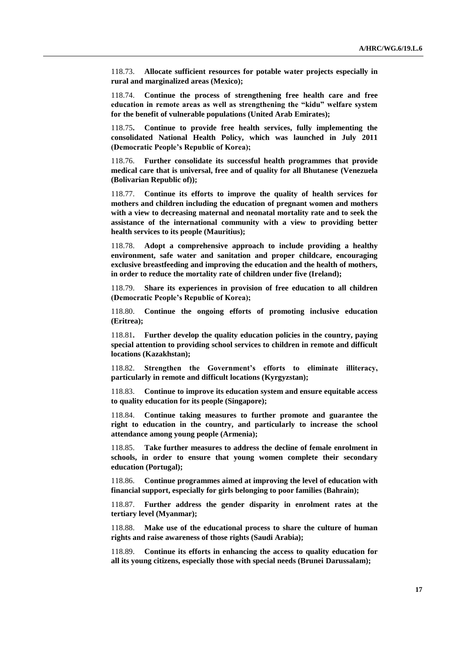118.73. **Allocate sufficient resources for potable water projects especially in rural and marginalized areas (Mexico);** 

118.74. **Continue the process of strengthening free health care and free education in remote areas as well as strengthening the "kidu" welfare system for the benefit of vulnerable populations (United Arab Emirates);**

118.75**. Continue to provide free health services, fully implementing the consolidated National Health Policy, which was launched in July 2011 (Democratic People's Republic of Korea);**

118.76. **Further consolidate its successful health programmes that provide medical care that is universal, free and of quality for all Bhutanese (Venezuela (Bolivarian Republic of));** 

118.77. **Continue its efforts to improve the quality of health services for mothers and children including the education of pregnant women and mothers with a view to decreasing maternal and neonatal mortality rate and to seek the assistance of the international community with a view to providing better health services to its people (Mauritius);**

118.78. **Adopt a comprehensive approach to include providing a healthy environment, safe water and sanitation and proper childcare, encouraging exclusive breastfeeding and improving the education and the health of mothers, in order to reduce the mortality rate of children under five (Ireland);** 

118.79. **Share its experiences in provision of free education to all children (Democratic People's Republic of Korea);** 

118.80. **Continue the ongoing efforts of promoting inclusive education (Eritrea);**

118.81**. Further develop the quality education policies in the country, paying special attention to providing school services to children in remote and difficult locations (Kazakhstan);**

118.82. **Strengthen the Government's efforts to eliminate illiteracy, particularly in remote and difficult locations (Kyrgyzstan);**

118.83. **Continue to improve its education system and ensure equitable access to quality education for its people (Singapore);**

118.84. **Continue taking measures to further promote and guarantee the right to education in the country, and particularly to increase the school attendance among young people (Armenia);** 

118.85. **Take further measures to address the decline of female enrolment in schools, in order to ensure that young women complete their secondary education (Portugal);** 

118.86. **Continue programmes aimed at improving the level of education with financial support, especially for girls belonging to poor families (Bahrain);**

118.87. **Further address the gender disparity in enrolment rates at the tertiary level (Myanmar);**

118.88. **Make use of the educational process to share the culture of human rights and raise awareness of those rights (Saudi Arabia);**

118.89. **Continue its efforts in enhancing the access to quality education for all its young citizens, especially those with special needs (Brunei Darussalam);**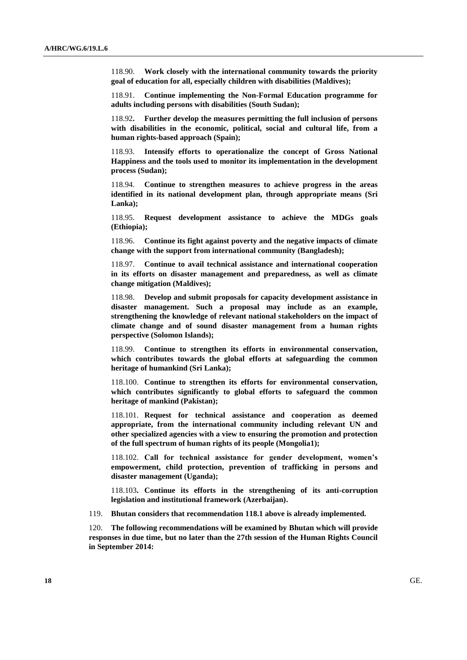118.90. **Work closely with the international community towards the priority goal of education for all, especially children with disabilities (Maldives);**

118.91. **Continue implementing the Non-Formal Education programme for adults including persons with disabilities (South Sudan);**

118.92**. Further develop the measures permitting the full inclusion of persons with disabilities in the economic, political, social and cultural life, from a human rights-based approach (Spain);**

118.93. **Intensify efforts to operationalize the concept of Gross National Happiness and the tools used to monitor its implementation in the development process (Sudan);** 

118.94. **Continue to strengthen measures to achieve progress in the areas identified in its national development plan, through appropriate means (Sri Lanka);** 

118.95. **Request development assistance to achieve the MDGs goals (Ethiopia);** 

118.96. **Continue its fight against poverty and the negative impacts of climate change with the support from international community (Bangladesh);** 

118.97. **Continue to avail technical assistance and international cooperation in its efforts on disaster management and preparedness, as well as climate change mitigation (Maldives);** 

118.98. **Develop and submit proposals for capacity development assistance in disaster management. Such a proposal may include as an example, strengthening the knowledge of relevant national stakeholders on the impact of climate change and of sound disaster management from a human rights perspective (Solomon Islands);** 

118.99. **Continue to strengthen its efforts in environmental conservation, which contributes towards the global efforts at safeguarding the common heritage of humankind (Sri Lanka);** 

118.100. **Continue to strengthen its efforts for environmental conservation, which contributes significantly to global efforts to safeguard the common heritage of mankind (Pakistan);** 

118.101. **Request for technical assistance and cooperation as deemed appropriate, from the international community including relevant UN and other specialized agencies with a view to ensuring the promotion and protection of the full spectrum of human rights of its people (Mongolia1);** 

118.102. **Call for technical assistance for gender development, women's empowerment, child protection, prevention of trafficking in persons and disaster management (Uganda);** 

118.103**. Continue its efforts in the strengthening of its anti-corruption legislation and institutional framework (Azerbaijan).**

119. **Bhutan considers that recommendation 118.1 above is already implemented.**

120. **The following recommendations will be examined by Bhutan which will provide responses in due time, but no later than the 27th session of the Human Rights Council in September 2014:**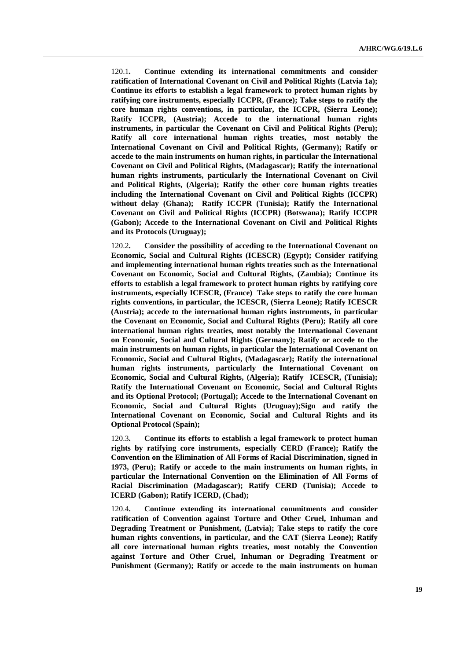120.1**. Continue extending its international commitments and consider ratification of International Covenant on Civil and Political Rights (Latvia 1a); Continue its efforts to establish a legal framework to protect human rights by ratifying core instruments, especially ICCPR, (France); Take steps to ratify the core human rights conventions, in particular, the ICCPR, (Sierra Leone); Ratify ICCPR, (Austria); Accede to the international human rights instruments, in particular the Covenant on Civil and Political Rights (Peru); Ratify all core international human rights treaties, most notably the International Covenant on Civil and Political Rights, (Germany); Ratify or accede to the main instruments on human rights, in particular the International Covenant on Civil and Political Rights, (Madagascar); Ratify the international human rights instruments, particularly the International Covenant on Civil and Political Rights, (Algeria); Ratify the other core human rights treaties including the International Covenant on Civil and Political Rights (ICCPR) without delay (Ghana); Ratify ICCPR (Tunisia); Ratify the International Covenant on Civil and Political Rights (ICCPR) (Botswana); Ratify ICCPR (Gabon); Accede to the International Covenant on Civil and Political Rights and its Protocols (Uruguay);**

120.2**. Consider the possibility of acceding to the International Covenant on Economic, Social and Cultural Rights (ICESCR) (Egypt); Consider ratifying and implementing international human rights treaties such as the International Covenant on Economic, Social and Cultural Rights, (Zambia); Continue its efforts to establish a legal framework to protect human rights by ratifying core instruments, especially ICESCR, (France) Take steps to ratify the core human rights conventions, in particular, the ICESCR, (Sierra Leone); Ratify ICESCR (Austria); accede to the international human rights instruments, in particular the Covenant on Economic, Social and Cultural Rights (Peru); Ratify all core international human rights treaties, most notably the International Covenant on Economic, Social and Cultural Rights (Germany); Ratify or accede to the main instruments on human rights, in particular the International Covenant on Economic, Social and Cultural Rights, (Madagascar); Ratify the international human rights instruments, particularly the International Covenant on Economic, Social and Cultural Rights, (Algeria); Ratify ICESCR, (Tunisia); Ratify the International Covenant on Economic, Social and Cultural Rights and its Optional Protocol; (Portugal); Accede to the International Covenant on Economic, Social and Cultural Rights (Uruguay);Sign and ratify the International Covenant on Economic, Social and Cultural Rights and its Optional Protocol (Spain);** 

120.3**. Continue its efforts to establish a legal framework to protect human rights by ratifying core instruments, especially CERD (France); Ratify the Convention on the Elimination of All Forms of Racial Discrimination, signed in 1973, (Peru); Ratify or accede to the main instruments on human rights, in particular the International Convention on the Elimination of All Forms of Racial Discrimination (Madagascar); Ratify CERD (Tunisia); Accede to ICERD (Gabon); Ratify ICERD, (Chad);** 

120.4**. Continue extending its international commitments and consider ratification of Convention against Torture and Other Cruel, Inhuman and Degrading Treatment or Punishment, (Latvia); Take steps to ratify the core human rights conventions, in particular, and the CAT (Sierra Leone); Ratify all core international human rights treaties, most notably the Convention against Torture and Other Cruel, Inhuman or Degrading Treatment or Punishment (Germany); Ratify or accede to the main instruments on human**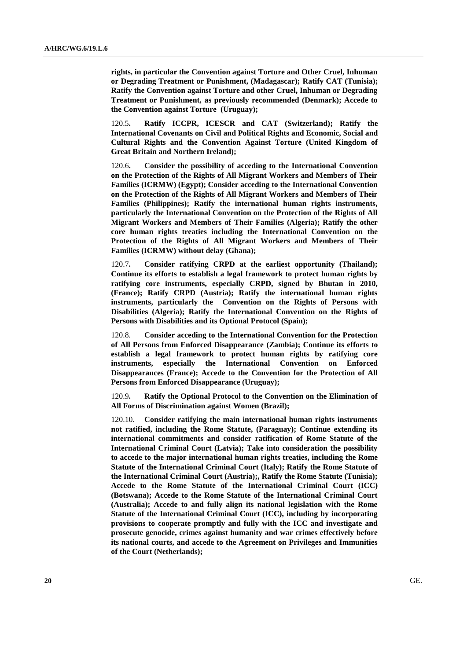**rights, in particular the Convention against Torture and Other Cruel, Inhuman or Degrading Treatment or Punishment, (Madagascar); Ratify CAT (Tunisia); Ratify the Convention against Torture and other Cruel, Inhuman or Degrading Treatment or Punishment, as previously recommended (Denmark); Accede to the Convention against Torture (Uruguay);**

120.5**. Ratify ICCPR, ICESCR and CAT (Switzerland); Ratify the International Covenants on Civil and Political Rights and Economic, Social and Cultural Rights and the Convention Against Torture (United Kingdom of Great Britain and Northern Ireland);**

120.6**. Consider the possibility of acceding to the International Convention on the Protection of the Rights of All Migrant Workers and Members of Their Families (ICRMW) (Egypt); Consider acceding to the International Convention on the Protection of the Rights of All Migrant Workers and Members of Their Families (Philippines); Ratify the international human rights instruments, particularly the International Convention on the Protection of the Rights of All Migrant Workers and Members of Their Families (Algeria); Ratify the other core human rights treaties including the International Convention on the Protection of the Rights of All Migrant Workers and Members of Their Families (ICRMW) without delay (Ghana);**

120.7**. Consider ratifying CRPD at the earliest opportunity (Thailand); Continue its efforts to establish a legal framework to protect human rights by ratifying core instruments, especially CRPD, signed by Bhutan in 2010, (France); Ratify CRPD (Austria); Ratify the international human rights instruments, particularly the Convention on the Rights of Persons with Disabilities (Algeria); Ratify the International Convention on the Rights of Persons with Disabilities and its Optional Protocol (Spain);** 

120.8. **Consider acceding to the International Convention for the Protection of All Persons from Enforced Disappearance (Zambia); Continue its efforts to establish a legal framework to protect human rights by ratifying core instruments, especially the International Convention on Enforced Disappearances (France); Accede to the Convention for the Protection of All Persons from Enforced Disappearance (Uruguay);**

120.9**. Ratify the Optional Protocol to the Convention on the Elimination of All Forms of Discrimination against Women (Brazil);** 

120.10. **Consider ratifying the main international human rights instruments not ratified, including the Rome Statute, (Paraguay); Continue extending its international commitments and consider ratification of Rome Statute of the International Criminal Court (Latvia); Take into consideration the possibility to accede to the major international human rights treaties, including the Rome Statute of the International Criminal Court (Italy); Ratify the Rome Statute of the International Criminal Court (Austria);, Ratify the Rome Statute (Tunisia); Accede to the Rome Statute of the International Criminal Court (ICC) (Botswana); Accede to the Rome Statute of the International Criminal Court (Australia); Accede to and fully align its national legislation with the Rome Statute of the International Criminal Court (ICC), including by incorporating provisions to cooperate promptly and fully with the ICC and investigate and prosecute genocide, crimes against humanity and war crimes effectively before its national courts, and accede to the Agreement on Privileges and Immunities of the Court (Netherlands);**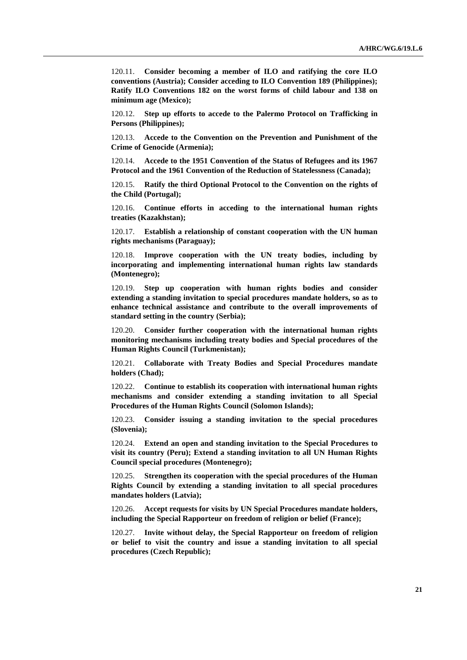120.11. **Consider becoming a member of ILO and ratifying the core ILO conventions (Austria); Consider acceding to ILO Convention 189 (Philippines); Ratify ILO Conventions 182 on the worst forms of child labour and 138 on minimum age (Mexico);**

120.12. **Step up efforts to accede to the Palermo Protocol on Trafficking in Persons (Philippines);**

120.13. **Accede to the Convention on the Prevention and Punishment of the Crime of Genocide (Armenia);**

120.14. **Accede to the 1951 Convention of the Status of Refugees and its 1967 Protocol and the 1961 Convention of the Reduction of Statelessness (Canada);**

120.15. **Ratify the third Optional Protocol to the Convention on the rights of the Child (Portugal);**

120.16. **Continue efforts in acceding to the international human rights treaties (Kazakhstan);**

120.17. **Establish a relationship of constant cooperation with the UN human rights mechanisms (Paraguay);**

Improve cooperation with the UN treaty bodies, including by **incorporating and implementing international human rights law standards (Montenegro);** 

120.19. **Step up cooperation with human rights bodies and consider extending a standing invitation to special procedures mandate holders, so as to enhance technical assistance and contribute to the overall improvements of standard setting in the country (Serbia);** 

120.20. **Consider further cooperation with the international human rights monitoring mechanisms including treaty bodies and Special procedures of the Human Rights Council (Turkmenistan);** 

120.21. **Collaborate with Treaty Bodies and Special Procedures mandate holders (Chad);**

120.22. **Continue to establish its cooperation with international human rights mechanisms and consider extending a standing invitation to all Special Procedures of the Human Rights Council (Solomon Islands);**

120.23. **Consider issuing a standing invitation to the special procedures (Slovenia);** 

120.24. **Extend an open and standing invitation to the Special Procedures to visit its country (Peru); Extend a standing invitation to all UN Human Rights Council special procedures (Montenegro);** 

120.25. **Strengthen its cooperation with the special procedures of the Human Rights Council by extending a standing invitation to all special procedures mandates holders (Latvia);**

120.26. **Accept requests for visits by UN Special Procedures mandate holders, including the Special Rapporteur on freedom of religion or belief (France);**

120.27. **Invite without delay, the Special Rapporteur on freedom of religion or belief to visit the country and issue a standing invitation to all special procedures (Czech Republic);**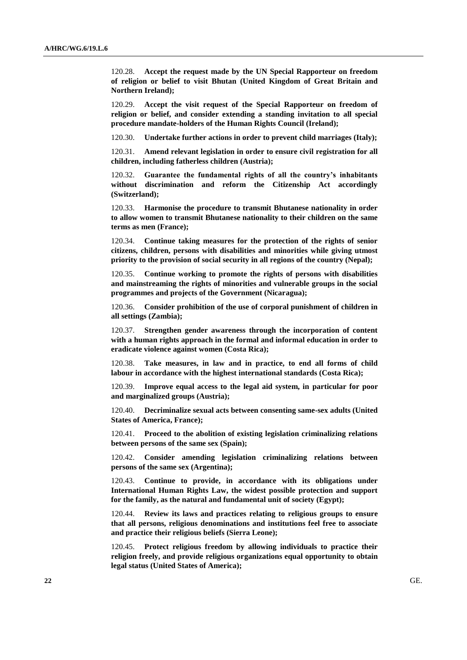120.28. **Accept the request made by the UN Special Rapporteur on freedom of religion or belief to visit Bhutan (United Kingdom of Great Britain and Northern Ireland);**

120.29. **Accept the visit request of the Special Rapporteur on freedom of religion or belief, and consider extending a standing invitation to all special procedure mandate-holders of the Human Rights Council (Ireland);** 

120.30. **Undertake further actions in order to prevent child marriages (Italy);**

120.31. **Amend relevant legislation in order to ensure civil registration for all children, including fatherless children (Austria);**

120.32. **Guarantee the fundamental rights of all the country's inhabitants without discrimination and reform the Citizenship Act accordingly (Switzerland);**

120.33. **Harmonise the procedure to transmit Bhutanese nationality in order to allow women to transmit Bhutanese nationality to their children on the same terms as men (France);**

120.34. **Continue taking measures for the protection of the rights of senior citizens, children, persons with disabilities and minorities while giving utmost priority to the provision of social security in all regions of the country (Nepal);**

120.35. **Continue working to promote the rights of persons with disabilities and mainstreaming the rights of minorities and vulnerable groups in the social programmes and projects of the Government (Nicaragua);**

120.36. **Consider prohibition of the use of corporal punishment of children in all settings (Zambia);**

120.37. **Strengthen gender awareness through the incorporation of content with a human rights approach in the formal and informal education in order to eradicate violence against women (Costa Rica);**

120.38. **Take measures, in law and in practice, to end all forms of child labour in accordance with the highest international standards (Costa Rica);**

120.39. **Improve equal access to the legal aid system, in particular for poor and marginalized groups (Austria);**

120.40. **Decriminalize sexual acts between consenting same-sex adults (United States of America, France);**

120.41. **Proceed to the abolition of existing legislation criminalizing relations between persons of the same sex (Spain);** 

120.42. **Consider amending legislation criminalizing relations between persons of the same sex (Argentina);**

120.43. **Continue to provide, in accordance with its obligations under International Human Rights Law, the widest possible protection and support for the family, as the natural and fundamental unit of society (Egypt);**

120.44. **Review its laws and practices relating to religious groups to ensure that all persons, religious denominations and institutions feel free to associate and practice their religious beliefs (Sierra Leone);**

120.45. **Protect religious freedom by allowing individuals to practice their religion freely, and provide religious organizations equal opportunity to obtain legal status (United States of America);**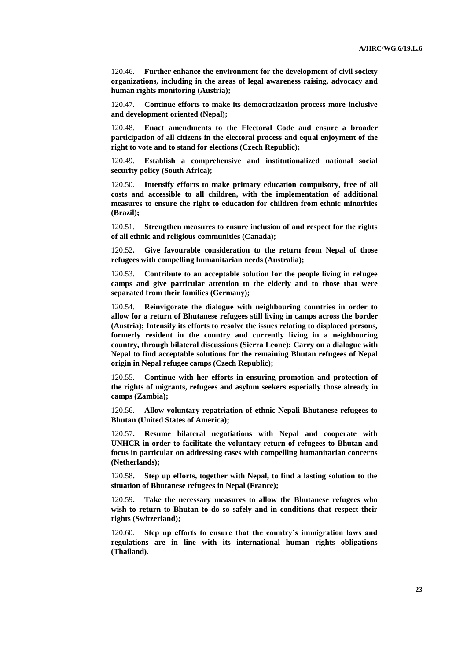120.46. **Further enhance the environment for the development of civil society organizations, including in the areas of legal awareness raising, advocacy and human rights monitoring (Austria);**

120.47. **Continue efforts to make its democratization process more inclusive and development oriented (Nepal);**

120.48. **Enact amendments to the Electoral Code and ensure a broader participation of all citizens in the electoral process and equal enjoyment of the right to vote and to stand for elections (Czech Republic);**

120.49. **Establish a comprehensive and institutionalized national social security policy (South Africa);**

Intensify efforts to make primary education compulsory, free of all **costs and accessible to all children, with the implementation of additional measures to ensure the right to education for children from ethnic minorities (Brazil);**

120.51. **Strengthen measures to ensure inclusion of and respect for the rights of all ethnic and religious communities (Canada);**

120.52**. Give favourable consideration to the return from Nepal of those refugees with compelling humanitarian needs (Australia);** 

120.53. **Contribute to an acceptable solution for the people living in refugee camps and give particular attention to the elderly and to those that were separated from their families (Germany);**

120.54. **Reinvigorate the dialogue with neighbouring countries in order to allow for a return of Bhutanese refugees still living in camps across the border (Austria); Intensify its efforts to resolve the issues relating to displaced persons, formerly resident in the country and currently living in a neighbouring country, through bilateral discussions (Sierra Leone); Carry on a dialogue with Nepal to find acceptable solutions for the remaining Bhutan refugees of Nepal origin in Nepal refugee camps (Czech Republic);**

120.55. **Continue with her efforts in ensuring promotion and protection of the rights of migrants, refugees and asylum seekers especially those already in camps (Zambia);** 

120.56. **Allow voluntary repatriation of ethnic Nepali Bhutanese refugees to Bhutan (United States of America);**

120.57**. Resume bilateral negotiations with Nepal and cooperate with UNHCR in order to facilitate the voluntary return of refugees to Bhutan and focus in particular on addressing cases with compelling humanitarian concerns (Netherlands);** 

120.58**. Step up efforts, together with Nepal, to find a lasting solution to the situation of Bhutanese refugees in Nepal (France);**

120.59**. Take the necessary measures to allow the Bhutanese refugees who wish to return to Bhutan to do so safely and in conditions that respect their rights (Switzerland);**

120.60. **Step up efforts to ensure that the country's immigration laws and regulations are in line with its international human rights obligations (Thailand).**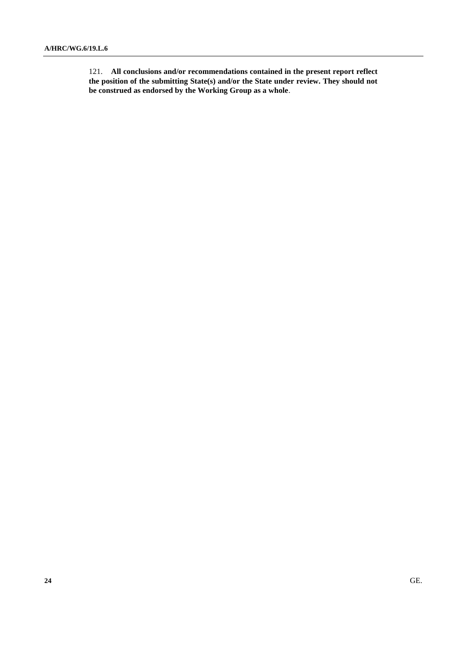121. **All conclusions and/or recommendations contained in the present report reflect the position of the submitting State(s) and/or the State under review. They should not be construed as endorsed by the Working Group as a whole**.